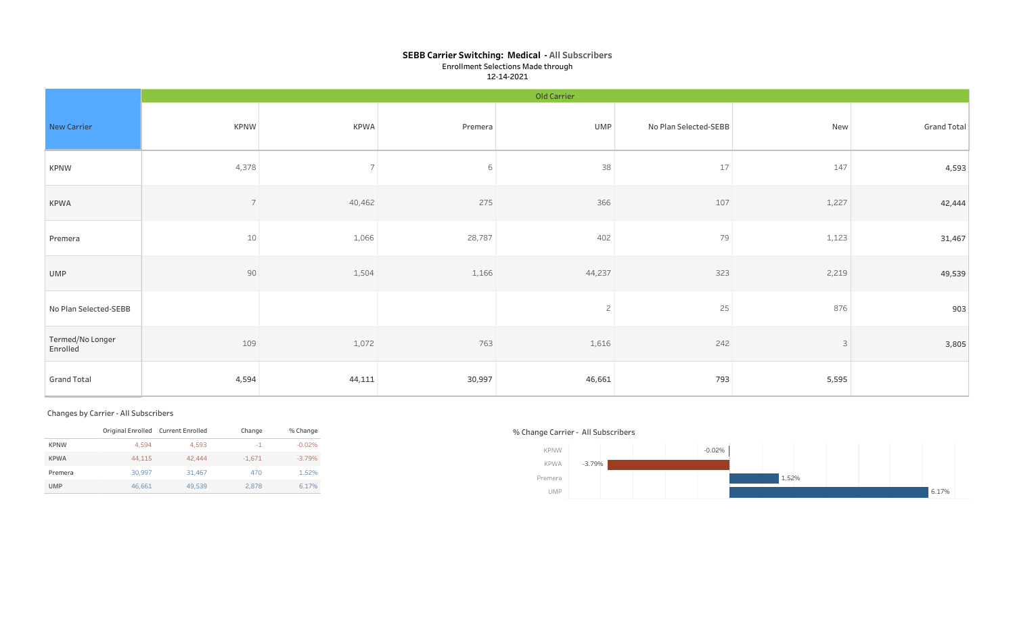## SEBB Carrier Switching: Medical - All Subscribers Enrollment Selections Made through 12-14-2021

|                              |                | Old Carrier    |         |                |                       |              |             |  |  |  |
|------------------------------|----------------|----------------|---------|----------------|-----------------------|--------------|-------------|--|--|--|
| New Carrier                  | <b>KPNW</b>    | <b>KPWA</b>    | Premera | UMP            | No Plan Selected-SEBB | New          | Grand Total |  |  |  |
| <b>KPNW</b>                  | 4,378          | $\overline{7}$ | 6       | 38             | 17                    | 147          | 4,593       |  |  |  |
| KPWA                         | $\overline{7}$ | 40,462         | 275     | 366            | 107                   | 1,227        | 42,444      |  |  |  |
| Premera                      | $10\,$         | 1,066          | 28,787  | 402            | 79                    | 1,123        | 31,467      |  |  |  |
| UMP                          | $90\,$         | 1,504          | 1,166   | 44,237         | 323                   | 2,219        | 49,539      |  |  |  |
| No Plan Selected-SEBB        |                |                |         | $\overline{2}$ | 25                    | 876          | 903         |  |  |  |
| Termed/No Longer<br>Enrolled | 109            | 1,072          | 763     | 1,616          | 242                   | $\mathsf{3}$ | 3,805       |  |  |  |
| <b>Grand Total</b>           | 4,594          | 44,111         | 30,997  | 46,661         | 793                   | 5,595        |             |  |  |  |

### Changes by Carrier - All Subscribers

|             | Original Enrolled Current Enrolled |        | Change   | % Change |
|-------------|------------------------------------|--------|----------|----------|
| <b>KPNW</b> | 4.594                              | 4.593  | $-1$     | $-0.02%$ |
| <b>KPWA</b> | 44.115                             | 42,444 | $-1.671$ | $-3.79%$ |
| Premera     | 30.997                             | 31,467 | 470      | 1.52%    |
| <b>UMP</b>  | 46,661                             | 49,539 | 2.878    | 6.17%    |

## % Change Carrier - All Subscribers

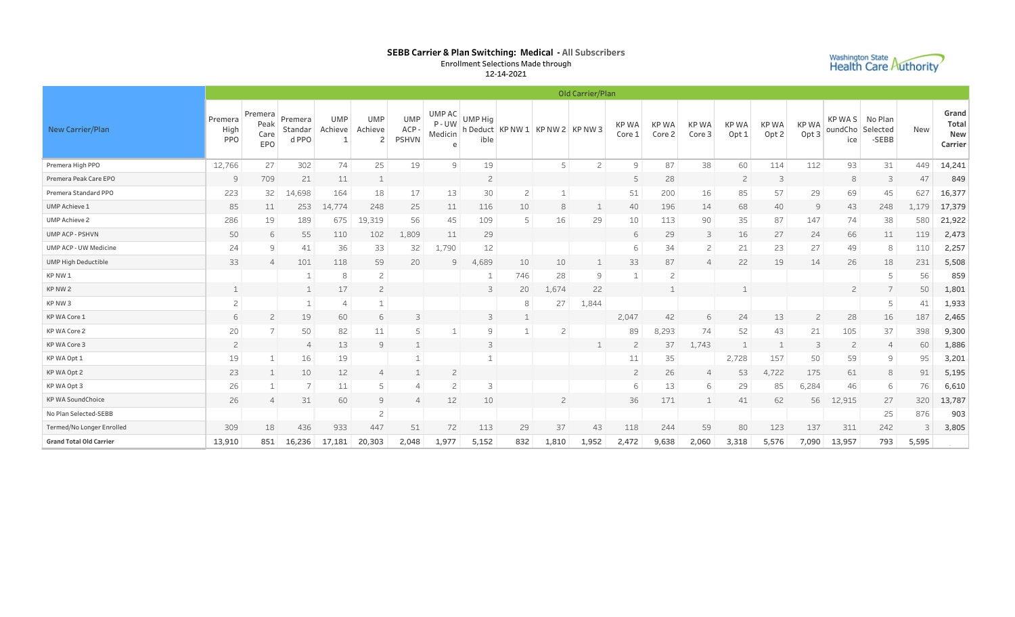## SEBB Carrier & Plan Switching: Medical - All Subscribers Enrollment Selections Made through



12-14-2021

|                                | Old Carrier/Plan       |                                |                             |                      |                                         |                                    |                               |                        |                    |                 |                |                 |                       |                       |                                 |                                 |                                 |                                           |       |       |                                  |
|--------------------------------|------------------------|--------------------------------|-----------------------------|----------------------|-----------------------------------------|------------------------------------|-------------------------------|------------------------|--------------------|-----------------|----------------|-----------------|-----------------------|-----------------------|---------------------------------|---------------------------------|---------------------------------|-------------------------------------------|-------|-------|----------------------------------|
| New Carrier/Plan               | Premera<br>High<br>PPO | Premera<br>Peak<br>Care<br>EPO | Premera<br>Standar<br>d PPO | UMP<br>Achieve<br>-1 | <b>UMP</b><br>Achieve<br>$\overline{c}$ | <b>UMP</b><br>ACP-<br><b>PSHVN</b> | UMP AC<br>$P - UW$<br>Medicin | <b>UMP Hig</b><br>ible | h Deduct   KP NW 1 | $KPNW2$ KP NW 3 |                | KP WA<br>Core 1 | <b>KPWA</b><br>Core 2 | <b>KPWA</b><br>Core 3 | <b>KPWA</b><br>Opt <sub>1</sub> | <b>KPWA</b><br>Opt <sub>2</sub> | <b>KPWA</b><br>Opt <sub>3</sub> | KP WAS No Plan<br>oundCho Selected<br>ice | -SEBB | New   | Grand<br>Total<br>New<br>Carrier |
| Premera High PPO               | 12,766                 | 27                             | 302                         | 74                   | 25                                      | 19                                 | 9                             | 19                     |                    | 5               | $\overline{c}$ | 9               | 87                    | 38                    | 60                              | 114                             | 112                             | 93                                        | 31    | 449   | 14,241                           |
| Premera Peak Care EPO          | 9                      | 709                            | 21                          | 11                   | 1                                       |                                    |                               | $\overline{2}$         |                    |                 |                | 5               | 28                    |                       | $\overline{c}$                  | 3                               |                                 | 8                                         | 3     | 47    | 849                              |
| Premera Standard PPO           | 223                    | 32                             | 14,698                      | 164                  | 18                                      | 17                                 | 13                            | 30                     | $\overline{c}$     |                 |                | 51              | 200                   | 16                    | 85                              | 57                              | 29                              | 69                                        | 45    | 627   | 16,377                           |
| UMP Achieve 1                  | 85                     | 11                             | 253                         | 14,774               | 248                                     | 25                                 | 11                            | 116                    | 10                 | 8               | $\mathbf{1}$   | 40              | 196                   | 14                    | 68                              | 40                              | 9                               | 43                                        | 248   | 1,179 | 17,379                           |
| <b>UMP Achieve 2</b>           | 286                    | 19                             | 189                         | 675                  | 19,319                                  | 56                                 | 45                            | 109                    |                    | 16              | 29             | 10              | 113                   | 90                    | 35                              | 87                              | 147                             | 74                                        | 38    | 580   | 21,922                           |
| UMP ACP - PSHVN                | 50                     | 6                              | 55                          | 110                  | 102                                     | 1,809                              | 11                            | 29                     |                    |                 |                | 6               | 29                    | 3                     | 16                              | 27                              | 24                              | 66                                        | 11    | 119   | 2,473                            |
| UMP ACP - UW Medicine          | 24                     | 9                              | 41                          | 36                   | 33                                      | 32                                 | 1,790                         | 12                     |                    |                 |                | 6               | 34                    | $\overline{c}$        | 21                              | 23                              | 27                              | 49                                        | 8     | 110   | 2,257                            |
| UMP High Deductible            | 33                     | $\overline{4}$                 | 101                         | 118                  | 59                                      | 20                                 | 9                             | 4,689                  | 10                 | 10              | $\mathbf{1}$   | 33              | 87                    | 4                     | 22                              | 19                              | 14                              | 26                                        | 18    | 231   | 5,508                            |
| KP NW 1                        |                        |                                | 1                           | 8                    | $\overline{c}$                          |                                    |                               |                        | 746                | 28              | 9              | $\mathbf{1}$    | $\mathbf{2}$          |                       |                                 |                                 |                                 |                                           | 5     | 56    | 859                              |
| KP NW 2                        |                        |                                | $\mathbf 1$                 | 17                   | $\overline{c}$                          |                                    |                               | 3                      | 20                 | 1,674           | 22             |                 | $\mathbf 1$           |                       |                                 |                                 |                                 | $\overline{c}$                            | 7     | 50    | 1,801                            |
| KP NW 3                        | $\overline{c}$         |                                | $\mathbf{1}$                | 4                    |                                         |                                    |                               |                        | 8                  | 27              | 1,844          |                 |                       |                       |                                 |                                 |                                 |                                           | 5     | 41    | 1,933                            |
| KP WA Core 1                   | 6                      | $\overline{c}$                 | 19                          | 60                   | 6                                       | 3                                  |                               | 3                      |                    |                 |                | 2,047           | 42                    | 6                     | 24                              | 13                              | $\overline{c}$                  | 28                                        | 16    | 187   | 2,465                            |
| KP WA Core 2                   | 20                     | $\overline{7}$                 | 50                          | 82                   | 11                                      | 5                                  |                               | 9                      |                    | $\overline{c}$  |                | 89              | 8,293                 | 74                    | 52                              | 43                              | 21                              | 105                                       | 37    | 398   | 9,300                            |
| KP WA Core 3                   | $\overline{c}$         |                                | $\overline{4}$              | 13                   | 9                                       | $\mathbf{1}$                       |                               | 3                      |                    |                 |                | $\overline{c}$  | 37                    | 1,743                 |                                 |                                 | 3                               | $\overline{c}$                            | 4     | 60    | 1,886                            |
| KP WA Opt 1                    | 19                     |                                | 16                          | 19                   |                                         |                                    |                               |                        |                    |                 |                | 11              | 35                    |                       | 2,728                           | 157                             | 50                              | 59                                        | 9     | 95    | 3,201                            |
| KP WA Opt 2                    | 23                     |                                | 10                          | 12                   | 4                                       |                                    | $\overline{c}$                |                        |                    |                 |                | $\overline{c}$  | 26                    | 4                     | 53                              | 4,722                           | 175                             | 61                                        | 8     | 91    | 5,195                            |
| KP WA Opt 3                    | 26                     |                                |                             | 11                   | 5                                       |                                    | $\overline{c}$                | 3                      |                    |                 |                | 6               | 13                    | 6                     | 29                              | 85                              | 6,284                           | 46                                        | 6     | 76    | 6,610                            |
| <b>KP WA SoundChoice</b>       | 26                     | $\overline{4}$                 | 31                          | 60                   | 9                                       | $\overline{4}$                     | 12                            | 10                     |                    | $\overline{c}$  |                | 36              | 171                   |                       | 41                              | 62                              | 56                              | 12,915                                    | 27    | 320   | 13,787                           |
| No Plan Selected-SEBB          |                        |                                |                             |                      | $\overline{c}$                          |                                    |                               |                        |                    |                 |                |                 |                       |                       |                                 |                                 |                                 |                                           | 25    | 876   | 903                              |
| Termed/No Longer Enrolled      | 309                    | 18                             | 436                         | 933                  | 447                                     | 51                                 | 72                            | 113                    | 29                 | 37              | 43             | 118             | 244                   | 59                    | 80                              | 123                             | 137                             | 311                                       | 242   | 3     | 3,805                            |
| <b>Grand Total Old Carrier</b> | 13,910                 | 851                            | 16,236                      | 17,181               | 20,303                                  | 2,048                              | 1,977                         | 5,152                  | 832                | 1,810           | 1,952          | 2,472           | 9,638                 | 2,060                 | 3,318                           | 5,576                           | 7,090                           | 13,957                                    | 793   | 5,595 |                                  |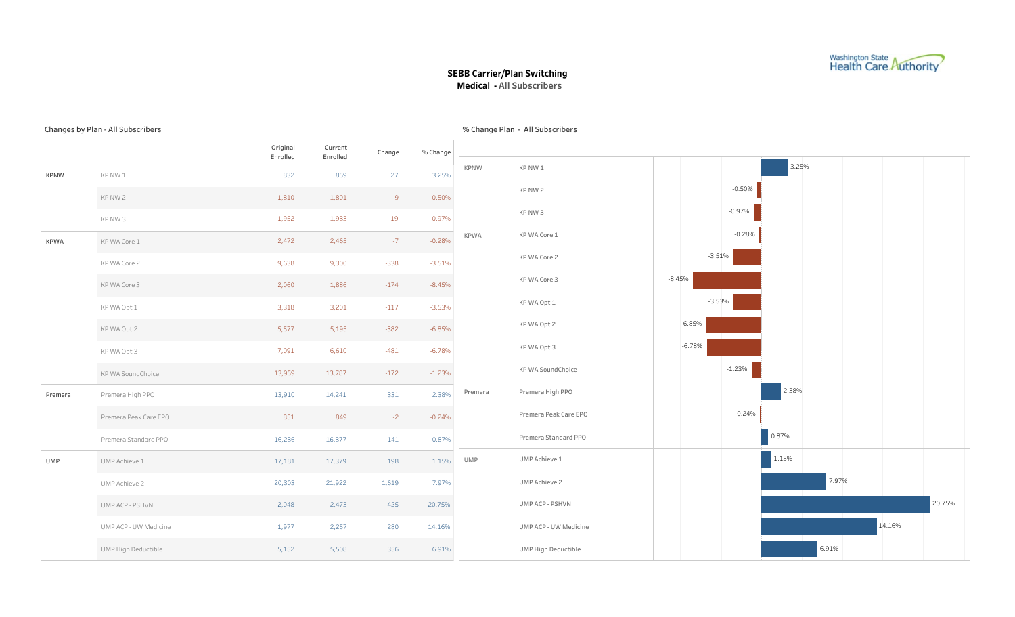

### SEBB Carrier/Plan Switching Medical - All Subscribers

% Change Plan - All Subscribers

#### Changes by Plan - All Subscribers

Original Enrolled Current Enrolled Change %Change KPNW KPNW 1 KPNW 2 KPNW 3 KPWA KPWACore 1 KPWACore2 KPWACore3 KPWAOpt1 KPWAOpt2 KPWAOpt3 KP WA SoundChoice Premera Premera High PPO Premera Peak Care EPO Premera Standard PPO UMP UMP Achieve 1 UMPAchieve2 UMPACP-PSHVN UMPACP-UW Medicine UMP High Deductible -0.97% -0.50% 3.25% -19 -9 27 1,933 1,801 859 1,952 1,810 832 -1.23% -6.78% -6.85% -3.53% -8.45% -3.51% -0.28% -172 -481 -382 -117 -174 -338 -7 13,787 6,610 5,195 3,201 1,886 9,300 2,465 13,959 7,091 5,577 3,318 2,060 9,638 2,472 0.87% -0.24% 2.38% 141 -2 331 16,377 849 14,241 16,236 851 13,910 6.91% 14.16% 20.75% 7.97% 1.15% 356 280 425 1,619 198 5,508 2,257 2,473 21,922 17,379 5,152 1,977 2,048 20,303 17,181 KPNW KPNW 1 KPNW 2 KPNW 3 KPWA KPWA Core 1 KPWACore2 KPWACore3 KPWAOpt1 KPWAOpt2 KPWAOpt3 KPWASoundChoice Premera Premera High PPO Premera Peak Care EPO Premera Standard PPO UMP UMP Achieve 1 UMP Achieve 2 UMPACP-PSHVN UMPACP-UW Medicine UMP High Deductible -0.97% -0.50% 3.25% -1.23% -6.78% -6.85% -3.53% -8.45% -3.51% -0.28% 0.87% -0.24% 2.38% 6.91% 14.16% 20.75% 7.97% 1.15%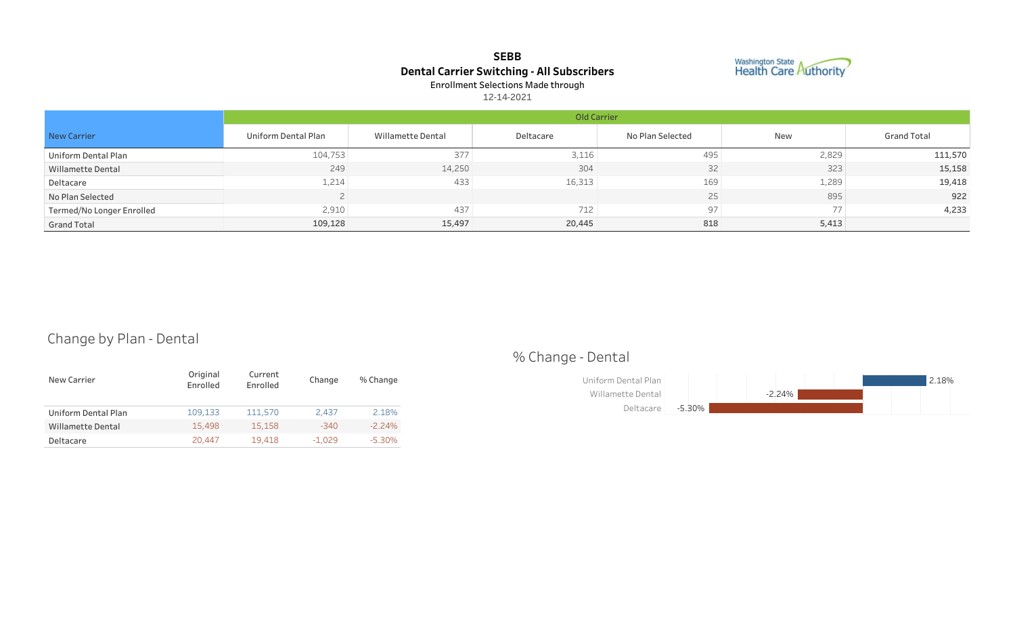# SEBB Dental Carrier Switching - All Subscribers Enrollment Selections Made through



12-14-2021

|                           |                     | Old Carrier       |           |                  |       |                    |  |  |  |  |  |
|---------------------------|---------------------|-------------------|-----------|------------------|-------|--------------------|--|--|--|--|--|
| New Carrier               | Uniform Dental Plan | Willamette Dental | Deltacare | No Plan Selected | New   | <b>Grand Total</b> |  |  |  |  |  |
| Uniform Dental Plan       | 104,753             | 377               | 3,116     | 495              | 2,829 | 111,570            |  |  |  |  |  |
| Willamette Dental         | 249                 | 14,250            | 304       | 32               | 323   | 15,158             |  |  |  |  |  |
| Deltacare                 | 1,214               | 433               | 16,313    | 169              | 1,289 | 19,418             |  |  |  |  |  |
| No Plan Selected          |                     |                   |           | 25               | 895   | 922                |  |  |  |  |  |
| Termed/No Longer Enrolled | 2,910               | 437               | 712       | 97               | 77    | 4,233              |  |  |  |  |  |
| <b>Grand Total</b>        | 109,128             | 15,497            | 20,445    | 818              | 5,413 |                    |  |  |  |  |  |

# Change by Plan - Dental

| New Carrier         | Original<br>Enrolled | Current<br>Enrolled | Change   | % Change  |
|---------------------|----------------------|---------------------|----------|-----------|
| Uniform Dental Plan | 109.133              | 111.570             | 2.437    | 2.18%     |
| Willamette Dental   | 15,498               | 15.158              | $-340$   | $-2.24\%$ |
| Deltacare           | 20.447               | 19,418              | $-1,029$ | $-5.30\%$ |

# %Change-Dental